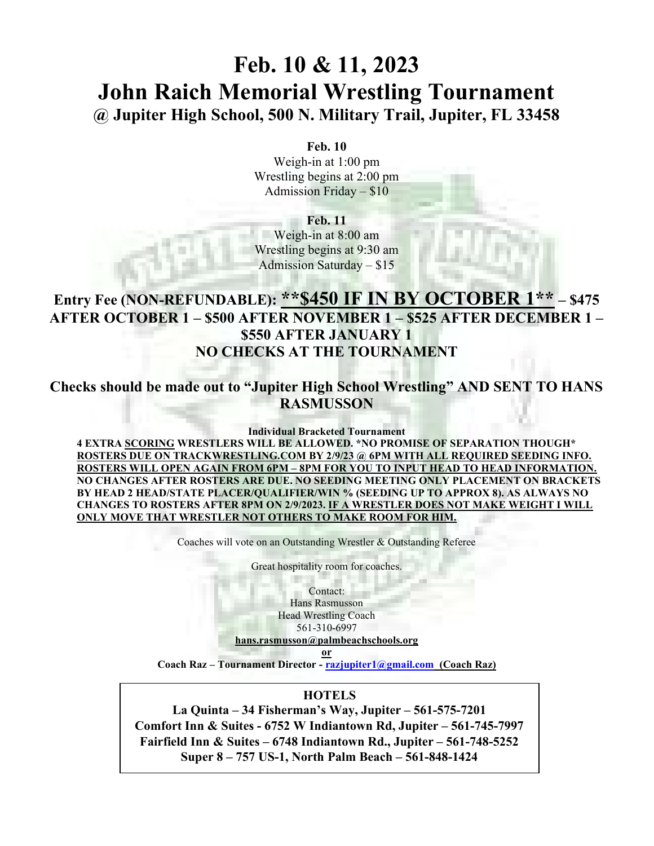# Feb. 10 & 11, 2023 John Raich Memorial Wrestling Tournament @ Jupiter High School, 500 N. Military Trail, Jupiter, FL 33458

Feb. 10

Weigh-in at 1:00 pm Wrestling begins at 2:00 pm Admission Friday – \$10

Feb. 11 Weigh-in at 8:00 am Wrestling begins at 9:30 am Admission Saturday – \$15

## Entry Fee (NON-REFUNDABLE): \*\* $\$450$  IF IN BY OCTOBER  $1** - $475$ AFTER OCTOBER 1 – \$500 AFTER NOVEMBER 1 – \$525 AFTER DECEMBER 1 – \$550 AFTER JANUARY 1 NO CHECKS AT THE TOURNAMENT

Checks should be made out to "Jupiter High School Wrestling" AND SENT TO HANS RASMUSSON

Individual Bracketed Tournament

4 EXTRA SCORING WRESTLERS WILL BE ALLOWED. \*NO PROMISE OF SEPARATION THOUGH\* ROSTERS DUE ON TRACKWRESTLING.COM BY 2/9/23 @ 6PM WITH ALL REQUIRED SEEDING INFO. ROSTERS WILL OPEN AGAIN FROM 6PM – 8PM FOR YOU TO INPUT HEAD TO HEAD INFORMATION. NO CHANGES AFTER ROSTERS ARE DUE. NO SEEDING MEETING ONLY PLACEMENT ON BRACKETS BY HEAD 2 HEAD/STATE PLACER/QUALIFIER/WIN % (SEEDING UP TO APPROX 8). AS ALWAYS NO CHANGES TO ROSTERS AFTER 8PM ON 2/9/2023. IF A WRESTLER DOES NOT MAKE WEIGHT I WILL ONLY MOVE THAT WRESTLER NOT OTHERS TO MAKE ROOM FOR HIM.

Coaches will vote on an Outstanding Wrestler & Outstanding Referee

Great hospitality room for coaches.

Contact: Hans Rasmusson Head Wrestling Coach

561-310-6997

hans.rasmusson@palmbeachschools.org

or

Coach Raz – Tournament Director - razjupiter1@gmail.com (Coach Raz)

### **HOTELS**

La Quinta – 34 Fisherman's Way, Jupiter – 561-575-7201 Comfort Inn & Suites - 6752 W Indiantown Rd, Jupiter – 561-745-7997 Fairfield Inn & Suites – 6748 Indiantown Rd., Jupiter – 561-748-5252 Super 8 – 757 US-1, North Palm Beach – 561-848-1424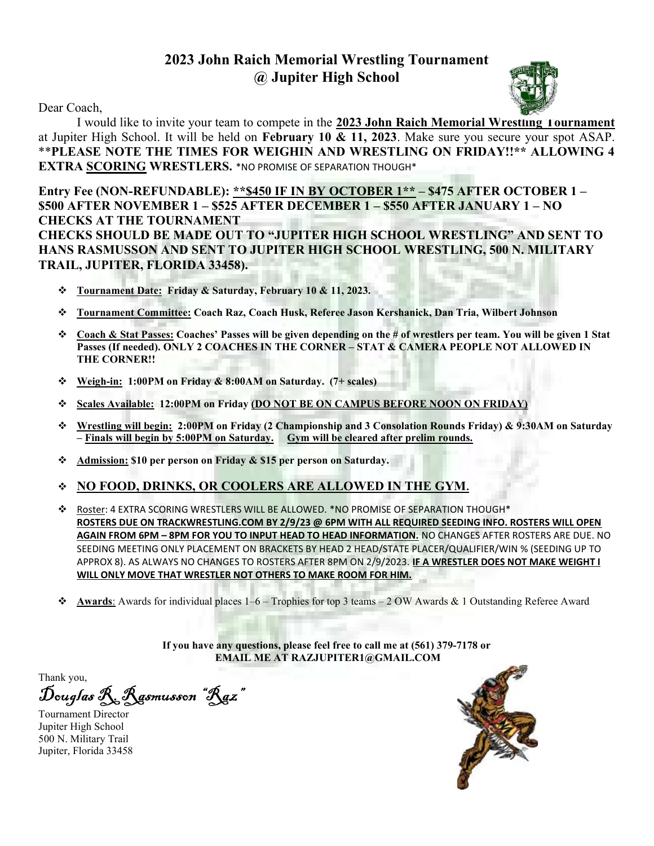### 2023 John Raich Memorial Wrestling Tournament @ Jupiter High School

Dear Coach,



I would like to invite your team to compete in the 2023 John Raich Memorial Wrestling Tournament at Jupiter High School. It will be held on February 10 & 11, 2023. Make sure you secure your spot ASAP. \*\*PLEASE NOTE THE TIMES FOR WEIGHIN AND WRESTLING ON FRIDAY!!\*\* ALLOWING 4 EXTRA SCORING WRESTLERS. \*NO PROMISE OF SEPARATION THOUGH\*

Entry Fee (NON-REFUNDABLE): \*\*\$450 IF IN BY OCTOBER 1\*\* – \$475 AFTER OCTOBER 1 – \$500 AFTER NOVEMBER 1 – \$525 AFTER DECEMBER 1 – \$550 AFTER JANUARY 1 – NO CHECKS AT THE TOURNAMENT CHECKS SHOULD BE MADE OUT TO "JUPITER HIGH SCHOOL WRESTLING" AND SENT TO HANS RASMUSSON AND SENT TO JUPITER HIGH SCHOOL WRESTLING, 500 N. MILITARY TRAIL, JUPITER, FLORIDA 33458).

- Tournament Date: Friday & Saturday, February 10 & 11, 2023.
- Tournament Committee: Coach Raz, Coach Husk, Referee Jason Kershanick, Dan Tria, Wilbert Johnson
- Coach & Stat Passes: Coaches' Passes will be given depending on the # of wrestlers per team. You will be given 1 Stat Passes (If needed). ONLY 2 COACHES IN THE CORNER - STAT & CAMERA PEOPLE NOT ALLOWED IN THE CORNER!!
- Weigh-in: 1:00PM on Friday & 8:00AM on Saturday. (7+ scales)
- Scales Available: 12:00PM on Friday (DO NOT BE ON CAMPUS BEFORE NOON ON FRIDAY)
- Wrestling will begin: 2:00PM on Friday (2 Championship and 3 Consolation Rounds Friday) & 9:30AM on Saturday – Finals will begin by 5:00PM on Saturday. Gym will be cleared after prelim rounds.
- Admission: \$10 per person on Friday & \$15 per person on Saturday.
- NO FOOD, DRINKS, OR COOLERS ARE ALLOWED IN THE GYM.
- Roster: 4 EXTRA SCORING WRESTLERS WILL BE ALLOWED. \*NO PROMISE OF SEPARATION THOUGH\* ROSTERS DUE ON TRACKWRESTLING.COM BY 2/9/23 @ 6PM WITH ALL REQUIRED SEEDING INFO. ROSTERS WILL OPEN AGAIN FROM 6PM – 8PM FOR YOU TO INPUT HEAD TO HEAD INFORMATION. NO CHANGES AFTER ROSTERS ARE DUE. NO SEEDING MEETING ONLY PLACEMENT ON BRACKETS BY HEAD 2 HEAD/STATE PLACER/QUALIFIER/WIN % (SEEDING UP TO APPROX 8). AS ALWAYS NO CHANGES TO ROSTERS AFTER 8PM ON 2/9/2023. IF A WRESTLER DOES NOT MAKE WEIGHT I WILL ONLY MOVE THAT WRESTLER NOT OTHERS TO MAKE ROOM FOR HIM.
- ◆ Awards: Awards for individual places 1-6 Trophies for top 3 teams 2 OW Awards & 1 Outstanding Referee Award

If you have any questions, please feel free to call me at (561) 379-7178 or EMAIL ME AT RAZJUPITER1@GMAIL.COM

Thank you, Douglas R. Rasmusson "Raz"

Tournament Director Jupiter High School 500 N. Military Trail Jupiter, Florida 33458